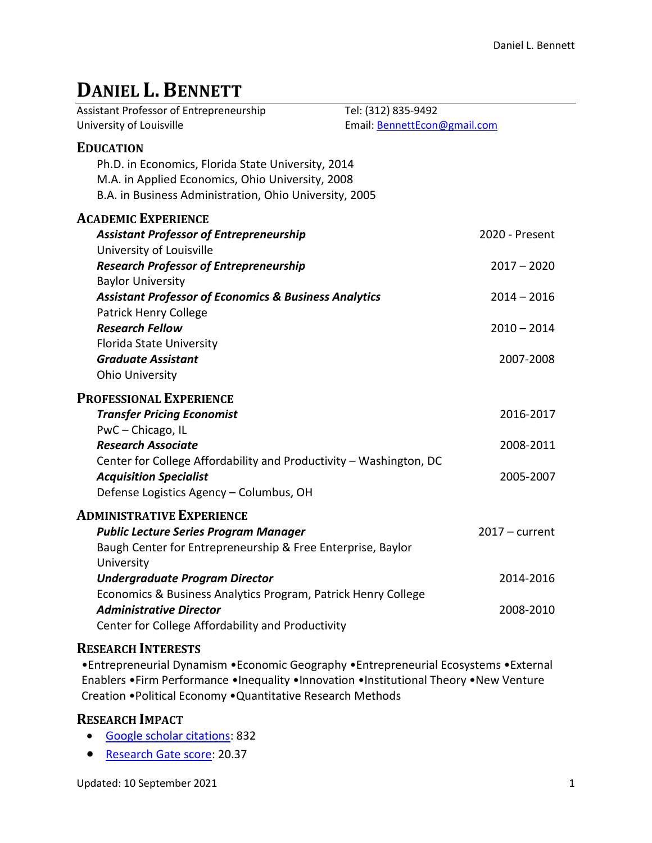# **DANIEL L. BENNETT**

| Assistant Professor of Entrepreneurship                                                                                                                                              | Tel: (312) 835-9492          |
|--------------------------------------------------------------------------------------------------------------------------------------------------------------------------------------|------------------------------|
| University of Louisville                                                                                                                                                             | Email: BennettEcon@gmail.com |
| <b>EDUCATION</b><br>Ph.D. in Economics, Florida State University, 2014<br>M.A. in Applied Economics, Ohio University, 2008<br>B.A. in Business Administration, Ohio University, 2005 |                              |
| <b>ACADEMIC EXPERIENCE</b>                                                                                                                                                           |                              |
| <b>Assistant Professor of Entrepreneurship</b>                                                                                                                                       | 2020 - Present               |
| University of Louisville                                                                                                                                                             |                              |
| <b>Research Professor of Entrepreneurship</b>                                                                                                                                        | $2017 - 2020$                |
| <b>Baylor University</b><br><b>Assistant Professor of Economics &amp; Business Analytics</b><br><b>Patrick Henry College</b>                                                         | $2014 - 2016$                |
| <b>Research Fellow</b>                                                                                                                                                               | $2010 - 2014$                |
| <b>Florida State University</b>                                                                                                                                                      |                              |
| <b>Graduate Assistant</b>                                                                                                                                                            | 2007-2008                    |
| <b>Ohio University</b>                                                                                                                                                               |                              |
| <b>PROFESSIONAL EXPERIENCE</b>                                                                                                                                                       |                              |
| <b>Transfer Pricing Economist</b>                                                                                                                                                    | 2016-2017                    |
| PwC-Chicago, IL<br><b>Research Associate</b>                                                                                                                                         | 2008-2011                    |
| Center for College Affordability and Productivity - Washington, DC                                                                                                                   |                              |
| <b>Acquisition Specialist</b>                                                                                                                                                        | 2005-2007                    |
| Defense Logistics Agency - Columbus, OH                                                                                                                                              |                              |
| <b>ADMINISTRATIVE EXPERIENCE</b>                                                                                                                                                     |                              |
| <b>Public Lecture Series Program Manager</b>                                                                                                                                         | $2017 - current$             |
| Baugh Center for Entrepreneurship & Free Enterprise, Baylor                                                                                                                          |                              |
| University                                                                                                                                                                           |                              |
| <b>Undergraduate Program Director</b><br>Economics & Business Analytics Program, Patrick Henry College                                                                               | 2014-2016                    |
| <b>Administrative Director</b>                                                                                                                                                       | 2008-2010                    |
| Center for College Affordability and Productivity                                                                                                                                    |                              |
| $\sim$ $\sim$ $\sim$                                                                                                                                                                 |                              |

## **RESEARCH INTERESTS**

•Entrepreneurial Dynamism •Economic Geography •Entrepreneurial Ecosystems •External Enablers •Firm Performance •Inequality •Innovation •Institutional Theory •New Venture Creation •Political Economy •Quantitative Research Methods

## **RESEARCH IMPACT**

- [Google scholar citations:](https://scholar.google.com/citations?user=9NaCzlMAAAAJ&hl=en) 832
- [Research Gate score:](https://www.researchgate.net/profile/Daniel_Bennett5) 20.37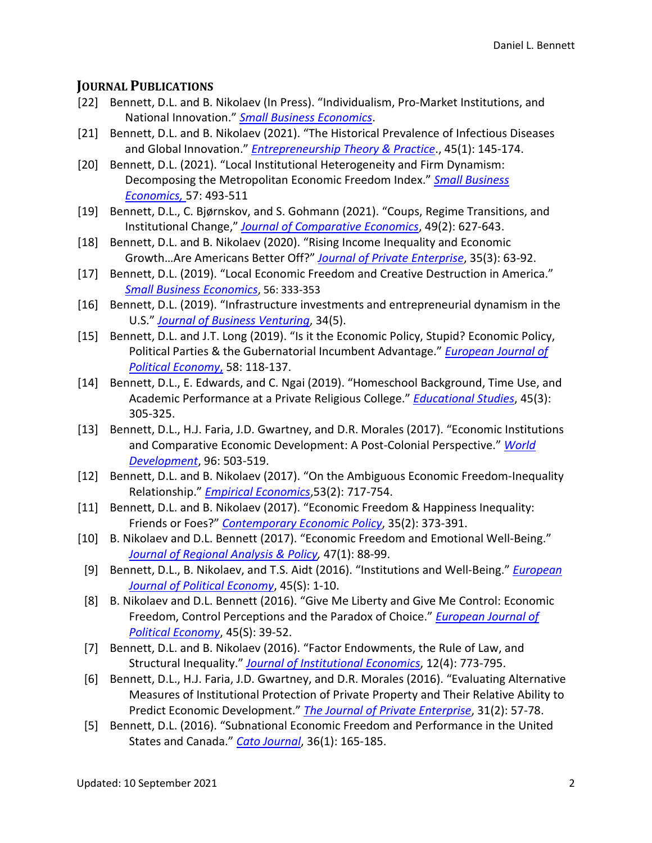#### **JOURNAL PUBLICATIONS**

- [22] Bennett, D.L. and B. Nikolaev (In Press). "Individualism, Pro-Market Institutions, and National Innovation." *[Small Business Economics](https://link.springer.com/article/10.1007/s11187-020-00396-y?wt_mc=Internal.Event.1.SEM.ArticleAuthorOnlineFirst&error=cookies_not_supported&code=fab8f308-ac27-4676-abc0-a7faefcaafac)*.
- [21] Bennett, D.L. and B. Nikolaev (2021). "The Historical Prevalence of Infectious Diseases and Global Innovation." *[Entrepreneurship Theory & Practice](https://journals.sagepub.com/doi/abs/10.1177/1042258720914506?journalCode=etpb)*., 45(1): 145-174.
- [20] Bennett, D.L. (2021). "Local Institutional Heterogeneity and Firm Dynamism: Decomposing the Metropolitan Economic Freedom Index." *[Small Business](https://link.springer.com/epdf/10.1007/s11187-020-00322-2?author_access_token=6eT8HoQpQizAvh5yc-Rshve4RwlQNchNByi7wbcMAY7B7A_vT5i-9RxgbYmjbGjooLixhT3YxtHXPTLZ8S3V5HLaSWlX5VrFwUA-THbzPX6Nsqxa8qo0QcYpx9B5Mx3hQnQGojXgso3xFZvbyYvMyA%3D%3D)  [Economics,](https://link.springer.com/epdf/10.1007/s11187-020-00322-2?author_access_token=6eT8HoQpQizAvh5yc-Rshve4RwlQNchNByi7wbcMAY7B7A_vT5i-9RxgbYmjbGjooLixhT3YxtHXPTLZ8S3V5HLaSWlX5VrFwUA-THbzPX6Nsqxa8qo0QcYpx9B5Mx3hQnQGojXgso3xFZvbyYvMyA%3D%3D)* 57: 493-511
- [19] Bennett, D.L., C. Bjørnskov, and S. Gohmann (2021). "Coups, Regime Transitions, and Institutional Change," *[Journal of Comparative Economics](https://www.sciencedirect.com/science/article/pii/S014759672030038X?fbclid=IwAR19ZMSI5-2iHW57SwIP7w2vIEVSoCTlnsO08fYcAClntI5MjIRZhziiKes)*, 49(2): 627-643.
- [18] Bennett, D.L. and B. Nikolaev (2020). "Rising Income Inequality and Economic Growth…Are Americans Better Off?" *[Journal of Private Enterprise](http://journal.apee.org/index.php?title=Parte5_2020_Journal_of_Private_Enterprise_Vol_35_No_3_Fall)*, 35(3): 63-92.
- [17] Bennett, D.L. (2019). "Local Economic Freedom and Creative Destruction in America." *[Small Business Economics](https://rdcu.be/bHVYK)*, 56: 333-353
- [16] Bennett, D.L. (2019). "Infrastructure investments and entrepreneurial dynamism in the U.S." *[Journal of Business Venturing](https://www.sciencedirect.com/science/article/pii/S0883902618300089)*, 34(5).
- [15] Bennett, D.L. and J.T. Long (2019). "Is it the Economic Policy, Stupid? Economic Policy, Political Parties & the Gubernatorial Incumbent Advantage." *[European Journal of](https://www.sciencedirect.com/science/article/abs/pii/S0176268018302362)  [Political Economy](https://www.sciencedirect.com/science/article/abs/pii/S0176268018302362)*, 58: 118-137.
- [14] Bennett, D.L., E. Edwards, and C. Ngai (2019). "Homeschool Background, Time Use, and Academic Performance at a Private Religious College." *[Educational Studies](https://www.tandfonline.com/doi/abs/10.1080/03055698.2018.1446332?journalCode=ceds20)*, 45(3): 305-325.
- [13] Bennett, D.L., H.J. Faria, J.D. Gwartney, and D.R. Morales (2017). "Economic Institutions and Comparative Economic Development: A Post-Colonial Perspective." *[World](https://www.sciencedirect.com/science/article/abs/pii/S0305750X15308858)  [Development](https://www.sciencedirect.com/science/article/abs/pii/S0305750X15308858)*, 96: 503-519.
- [12] Bennett, D.L. and B. Nikolaev (2017). "On the Ambiguous Economic Freedom-Inequality Relationship." *[Empirical Economics](https://link.springer.com/article/10.1007/s00181-016-1131-3)*,53(2): 717-754.
- [11] Bennett, D.L. and B. Nikolaev (2017). "Economic Freedom & Happiness Inequality: Friends or Foes?" *[Contemporary Economic Policy](http://onlinelibrary.wiley.com/doi/10.1111/coep.12190/abstract)*, 35(2): 373-391.
- [10] B. Nikolaev and D.L. Bennett (2017). "Economic Freedom and Emotional Well-Being." *[Journal of Regional Analysis & Policy,](http://jrap-journal.org/pastvolumes/2010/v47/index471.html)* 47(1): 88-99.
- [9] Bennett, D.L., B. Nikolaev, and T.S. Aidt (2016). "Institutions and Well-Being." *[European](http://www.sciencedirect.com/science/article/pii/S0176268016302221)  [Journal of Political Economy](http://www.sciencedirect.com/science/article/pii/S0176268016302221)*, 45(S): 1-10.
- [8] B. Nikolaev and D.L. Bennett (2016). "Give Me Liberty and Give Me Control: Economic Freedom, Control Perceptions and the Paradox of Choice." *[European Journal of](http://www.sciencedirect.com/science/article/pii/S0176268016300611)  [Political Economy](http://www.sciencedirect.com/science/article/pii/S0176268016300611)*, 45(S): 39-52.
- [7] Bennett, D.L. and B. Nikolaev (2016). "Factor Endowments, the Rule of Law, and Structural Inequality." *[Journal of Institutional Economics](https://www.cambridge.org/core/journals/journal-of-institutional-economics/article/factor-endowments-the-rule-of-law-and-structural-inequality/08EAC22D5F70BA34F7742A217AEEE31F)*, 12(4): 773-795.
- [6] Bennett, D.L., H.J. Faria, J.D. Gwartney, and D.R. Morales (2016). "Evaluating Alternative Measures of Institutional Protection of Private Property and Their Relative Ability to Predict Economic Development." *[The Journal of Private Enterprise](http://journal.apee.org/index.php/2016_Journal_of_Private_Enterprise_vol_31_no_2_Summer_parte4.pdf)*, 31(2): 57-78.
- [5] Bennett, D.L. (2016). "Subnational Economic Freedom and Performance in the United States and Canada." *[Cato Journal](https://object.cato.org/sites/cato.org/files/serials/files/cato-journal/2016/2/cato-journal-v36n1-11.pdf)*, 36(1): 165-185.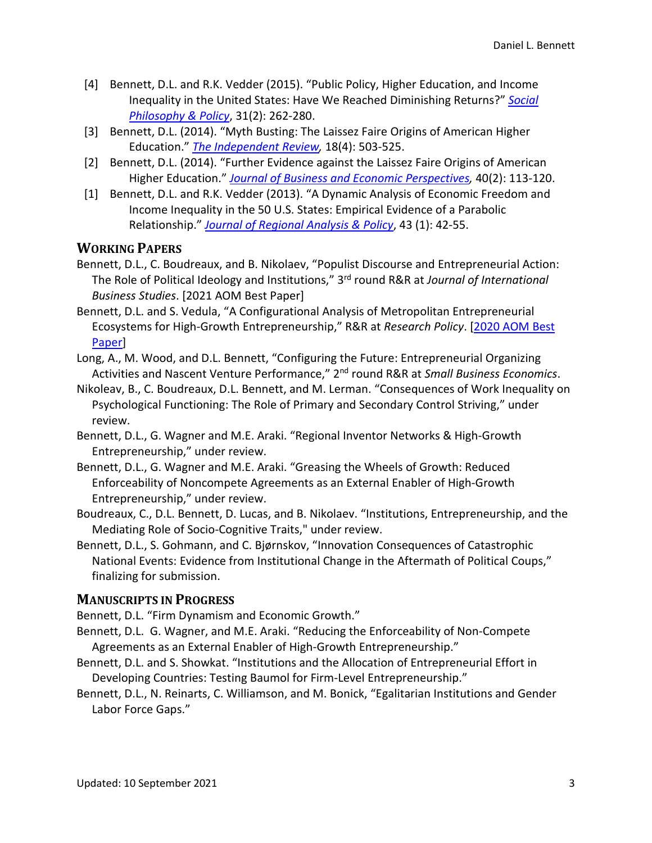- [4] Bennett, D.L. and R.K. Vedder (2015). "Public Policy, Higher Education, and Income Inequality in the United States: Have We Reached Diminishing Returns?" *[Social](https://www.cambridge.org/core/journals/social-philosophy-and-policy/article/public-policy-higher-education-and-income-inequality-in-the-united-states-have-we-reached-diminishing-returns/B641CD7A23692DA2FDE759A76299DC6A)  [Philosophy & Policy](https://www.cambridge.org/core/journals/social-philosophy-and-policy/article/public-policy-higher-education-and-income-inequality-in-the-united-states-have-we-reached-diminishing-returns/B641CD7A23692DA2FDE759A76299DC6A)*, 31(2): 262-280.
- [3] Bennett, D.L. (2014). "Myth Busting: The Laissez Faire Origins of American Higher Education." *[The Independent Review,](http://www.independent.org/publications/tir/article.asp?a=985)* 18(4): 503-525.
- [2] Bennett, D.L. (2014). "Further Evidence against the Laissez Faire Origins of American Higher Education." *[Journal of Business and Economic Perspectives,](http://www.bennettecon.com/uploads/2/2/5/2/22526640/bennett_jbep.pdf)* 40(2): 113-120.
- [1] Bennett, D.L. and R.K. Vedder (2013). "A Dynamic Analysis of Economic Freedom and Income Inequality in the 50 U.S. States: Empirical Evidence of a Parabolic Relationship." *[Journal of Regional Analysis & Policy](http://www.jrap-journal.org/pastvolumes/2010/v43/v43_n1_a5_bennett_vedder.pdf)*, 43 (1): 42-55.

#### **WORKING PAPERS**

- Bennett, D.L., C. Boudreaux, and B. Nikolaev, "Populist Discourse and Entrepreneurial Action: The Role of Political Ideology and Institutions," 3rd round R&R at *Journal of International Business Studies*. [2021 AOM Best Paper]
- Bennett, D.L. and S. Vedula, "A Configurational Analysis of Metropolitan Entrepreneurial Ecosystems for High-Growth Entrepreneurship," R&R at *Research Policy*. [\[2020 AOM Best](https://journals.aom.org/doi/abs/10.5465/AMBPP.2020.54)  [Paper\]](https://journals.aom.org/doi/abs/10.5465/AMBPP.2020.54)
- Long, A., M. Wood, and D.L. Bennett, "Configuring the Future: Entrepreneurial Organizing Activities and Nascent Venture Performance," 2nd round R&R at *Small Business Economics*.
- Nikoleav, B., C. Boudreaux, D.L. Bennett, and M. Lerman. "Consequences of Work Inequality on Psychological Functioning: The Role of Primary and Secondary Control Striving," under review.
- Bennett, D.L., G. Wagner and M.E. Araki. "Regional Inventor Networks & High-Growth Entrepreneurship," under review.
- Bennett, D.L., G. Wagner and M.E. Araki. "Greasing the Wheels of Growth: Reduced Enforceability of Noncompete Agreements as an External Enabler of High-Growth Entrepreneurship," under review.
- Boudreaux, C., D.L. Bennett, D. Lucas, and B. Nikolaev. "Institutions, Entrepreneurship, and the Mediating Role of Socio-Cognitive Traits," under review.
- Bennett, D.L., S. Gohmann, and C. Bjørnskov, "Innovation Consequences of Catastrophic National Events: Evidence from Institutional Change in the Aftermath of Political Coups," finalizing for submission.

#### **MANUSCRIPTS IN PROGRESS**

Bennett, D.L. "Firm Dynamism and Economic Growth."

- Bennett, D.L. G. Wagner, and M.E. Araki. "Reducing the Enforceability of Non-Compete Agreements as an External Enabler of High-Growth Entrepreneurship."
- Bennett, D.L. and S. Showkat. "Institutions and the Allocation of Entrepreneurial Effort in Developing Countries: Testing Baumol for Firm-Level Entrepreneurship."
- Bennett, D.L., N. Reinarts, C. Williamson, and M. Bonick, "Egalitarian Institutions and Gender Labor Force Gaps."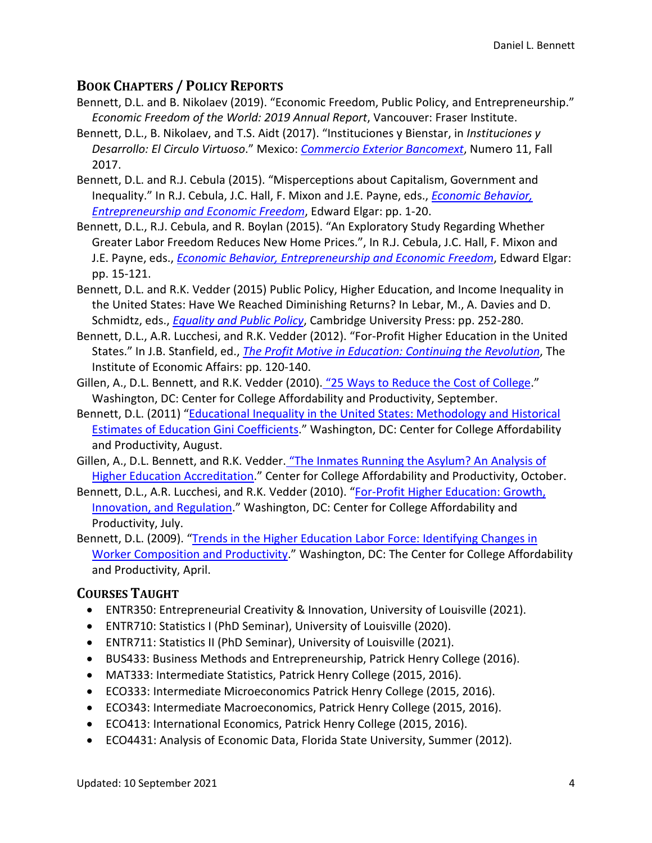## **BOOK CHAPTERS / POLICY REPORTS**

- Bennett, D.L. and B. Nikolaev (2019). "Economic Freedom, Public Policy, and Entrepreneurship." *Economic Freedom of the World: 2019 Annual Report*, Vancouver: Fraser Institute.
- Bennett, D.L., B. Nikolaev, and T.S. Aidt (2017). "Instituciones y Bienstar, in *Instituciones y Desarrollo: El Circulo Virtuoso*." Mexico: *[Commercio Exterior Bancomext](http://www.revistacomercioexterior.com/sumario.php?id=12)*, Numero 11, Fall 2017.
- Bennett, D.L. and R.J. Cebula (2015). "Misperceptions about Capitalism, Government and Inequality." In R.J. Cebula, J.C. Hall, F. Mixon and J.E. Payne, eds., *[Economic Behavior,](http://www.e-elgar.com/shop/economic-behavior-economic-freedom-and-entrepreneurship)  [Entrepreneurship and Economic Freedom](http://www.e-elgar.com/shop/economic-behavior-economic-freedom-and-entrepreneurship)*, Edward Elgar: pp. 1-20.
- Bennett, D.L., R.J. Cebula, and R. Boylan (2015). "An Exploratory Study Regarding Whether Greater Labor Freedom Reduces New Home Prices.", In R.J. Cebula, J.C. Hall, F. Mixon and J.E. Payne, eds., *[Economic Behavior, Entrepreneurship and Economic Freedom](http://www.e-elgar.com/shop/economic-behavior-economic-freedom-and-entrepreneurship)*, Edward Elgar: pp. 15-121.
- Bennett, D.L. and R.K. Vedder (2015) Public Policy, Higher Education, and Income Inequality in the United States: Have We Reached Diminishing Returns? In Lebar, M., A. Davies and D. Schmidtz, eds., *[Equality and Public Policy](http://www.cambridge.org/catalogue/catalogue.asp?ISBN=9781107581739)*, Cambridge University Press: pp. 252-280.
- Bennett, D.L., A.R. Lucchesi, and R.K. Vedder (2012). "For-Profit Higher Education in the United States." In J.B. Stanfield, ed., *[The Profit Motive in Education: Continuing the Revolution](https://iea.org.uk/publications/research/the-profit-motive-in-education-continuing-the-revolution)*, The Institute of Economic Affairs: pp. 120-140.
- Gillen, A., D.L. Bennett, and R.K. Vedder (2010). ["25 Ways to Reduce the Cost of College.](http://files.eric.ed.gov/fulltext/ED536144.pdf)" Washington, DC: Center for College Affordability and Productivity, September.
- Bennett, D.L. (2011) ["Educational Inequality in the United States: Methodology and Historical](http://files.eric.ed.gov/fulltext/ED536152.pdf)  [Estimates of Education Gini Coefficients.](http://files.eric.ed.gov/fulltext/ED536152.pdf)" Washington, DC: Center for College Affordability and Productivity, August.
- Gillen, A., D.L. Bennett, and R.K. Vedder. "The Inmates Running the Asylum? An Analysis of [Higher Education Accreditation.](https://eric.ed.gov/?id=ED536283)" Center for College Affordability and Productivity, October.
- Bennett, D.L., A.R. Lucchesi, and R.K. Vedder (2010). ["For-Profit Higher Education: Growth,](https://eric.ed.gov/?id=ED536282)  [Innovation, and Regulation.](https://eric.ed.gov/?id=ED536282)" Washington, DC: Center for College Affordability and Productivity, July.
- Bennett, D.L. (2009). "Trends in the Higher Education Labor Force: Identifying Changes in [Worker Composition and Productivity.](https://eric.ed.gov/?id=ED536492)" Washington, DC: The Center for College Affordability and Productivity, April.

# **COURSES TAUGHT**

- ENTR350: Entrepreneurial Creativity & Innovation, University of Louisville (2021).
- ENTR710: Statistics I (PhD Seminar), University of Louisville (2020).
- ENTR711: Statistics II (PhD Seminar), University of Louisville (2021).
- BUS433: Business Methods and Entrepreneurship, Patrick Henry College (2016).
- MAT333: Intermediate Statistics, Patrick Henry College (2015, 2016).
- ECO333: Intermediate Microeconomics Patrick Henry College (2015, 2016).
- ECO343: Intermediate Macroeconomics, Patrick Henry College (2015, 2016).
- ECO413: International Economics, Patrick Henry College (2015, 2016).
- ECO4431: Analysis of Economic Data, Florida State University, Summer (2012).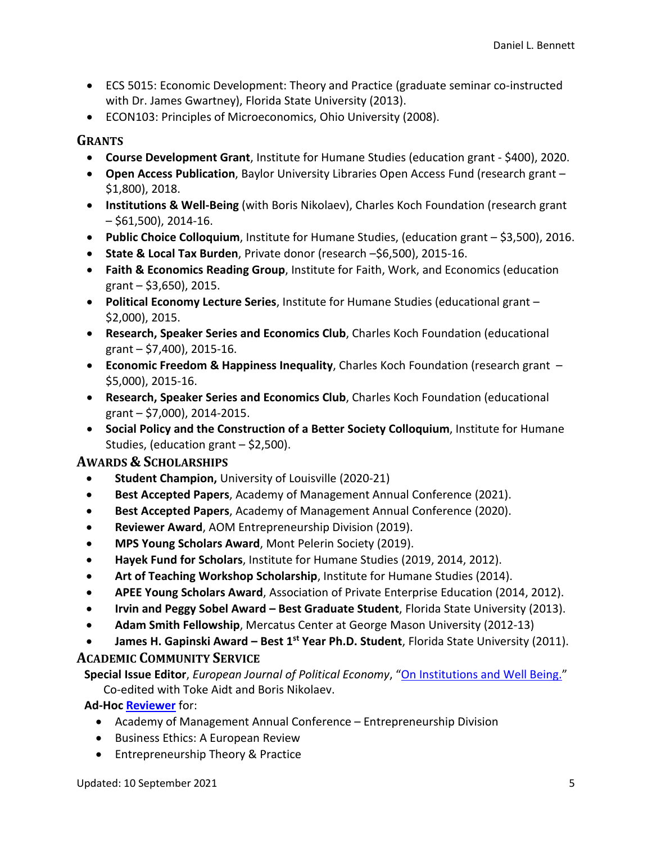- ECS 5015: Economic Development: Theory and Practice (graduate seminar co-instructed with Dr. James Gwartney), Florida State University (2013).
- ECON103: Principles of Microeconomics, Ohio University (2008).

#### **GRANTS**

- **Course Development Grant**, Institute for Humane Studies (education grant \$400), 2020.
- **Open Access Publication**, Baylor University Libraries Open Access Fund (research grant \$1,800), 2018.
- **Institutions & Well-Being** (with Boris Nikolaev), Charles Koch Foundation (research grant  $-$  \$61,500), 2014-16.
- **Public Choice Colloquium**, Institute for Humane Studies, (education grant \$3,500), 2016.
- **State & Local Tax Burden**, Private donor (research –\$6,500), 2015-16.
- **Faith & Economics Reading Group**, Institute for Faith, Work, and Economics (education grant – \$3,650), 2015.
- **Political Economy Lecture Series**, Institute for Humane Studies (educational grant \$2,000), 2015.
- **Research, Speaker Series and Economics Club**, Charles Koch Foundation (educational grant – \$7,400), 2015-16.
- **Economic Freedom & Happiness Inequality**, Charles Koch Foundation (research grant \$5,000), 2015-16.
- **Research, Speaker Series and Economics Club**, Charles Koch Foundation (educational grant – \$7,000), 2014-2015.
- **Social Policy and the Construction of a Better Society Colloquium**, Institute for Humane Studies, (education grant – \$2,500).

## **AWARDS & SCHOLARSHIPS**

- **Student Champion,** University of Louisville (2020-21)
- **Best Accepted Papers**, Academy of Management Annual Conference (2021).
- **Best Accepted Papers**, Academy of Management Annual Conference (2020).
- **Reviewer Award**, AOM Entrepreneurship Division (2019).
- **MPS Young Scholars Award**, Mont Pelerin Society (2019).
- **Hayek Fund for Scholars**, Institute for Humane Studies (2019, 2014, 2012).
- **Art of Teaching Workshop Scholarship**, Institute for Humane Studies (2014).
- **APEE Young Scholars Award**, Association of Private Enterprise Education (2014, 2012).
- **Irvin and Peggy Sobel Award – Best Graduate Student**, Florida State University (2013).
- **Adam Smith Fellowship**, Mercatus Center at George Mason University (2012-13)
- **James H. Gapinski Award – Best 1st Year Ph.D. Student**, Florida State University (2011). **ACADEMIC COMMUNITY SERVICE**

**Special Issue Editor**, *European Journal of Political Economy*, ["On Institutions and Well Being.](https://www.sciencedirect.com/journal/european-journal-of-political-economy/vol/45/suppl/S)" Co-edited with Toke Aidt and Boris Nikolaev.

**Ad-Hoc [Reviewer](https://publons.com/researcher/1420139/daniel-bennett/)** for:

- Academy of Management Annual Conference Entrepreneurship Division
- Business Ethics: A European Review
- Entrepreneurship Theory & Practice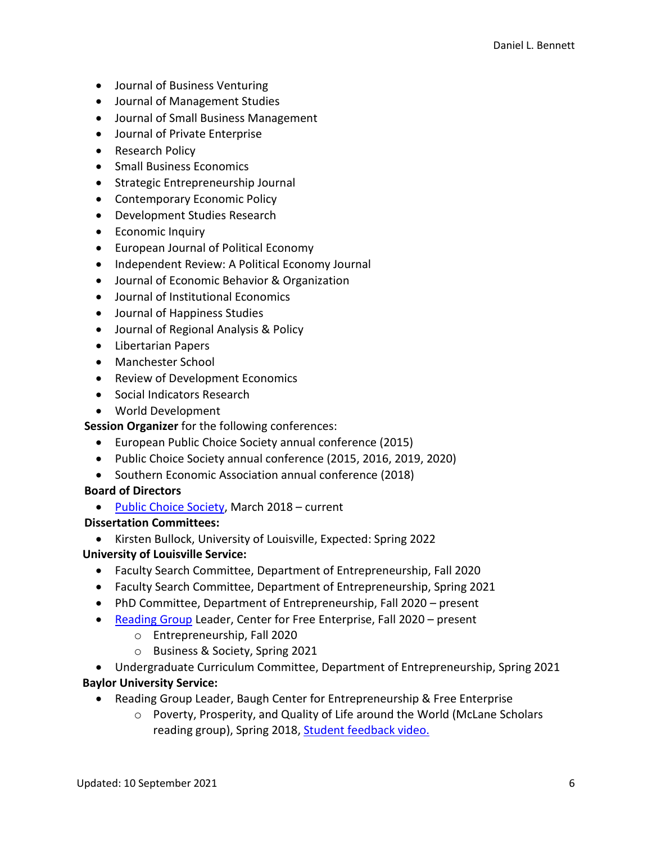- Journal of Business Venturing
- Journal of Management Studies
- Journal of Small Business Management
- Journal of Private Enterprise
- Research Policy
- Small Business Economics
- Strategic Entrepreneurship Journal
- Contemporary Economic Policy
- Development Studies Research
- Economic Inquiry
- European Journal of Political Economy
- Independent Review: A Political Economy Journal
- Journal of Economic Behavior & Organization
- Journal of Institutional Economics
- Journal of Happiness Studies
- Journal of Regional Analysis & Policy
- Libertarian Papers
- Manchester School
- Review of Development Economics
- Social Indicators Research
- World Development

**Session Organizer** for the following conferences:

- European Public Choice Society annual conference (2015)
- Public Choice Society annual conference (2015, 2016, 2019, 2020)
- Southern Economic Association annual conference (2018)

#### **Board of Directors**

• [Public Choice Society,](https://publicchoicesociety.org/about) March 2018 – current

#### **Dissertation Committees:**

• Kirsten Bullock, University of Louisville, Expected: Spring 2022

#### **University of Louisville Service:**

- Faculty Search Committee, Department of Entrepreneurship, Fall 2020
- Faculty Search Committee, Department of Entrepreneurship, Spring 2021
- PhD Committee, Department of Entrepreneurship, Fall 2020 present
- [Reading Group](https://business.louisville.edu/about/learning-at-cob/center-free-enterprise/reading-groups/) Leader, Center for Free Enterprise, Fall 2020 present
	- o Entrepreneurship, Fall 2020
	- o Business & Society, Spring 2021

• Undergraduate Curriculum Committee, Department of Entrepreneurship, Spring 2021  **Baylor University Service:**

- Reading Group Leader, Baugh Center for Entrepreneurship & Free Enterprise
	- o Poverty, Prosperity, and Quality of Life around the World (McLane Scholars reading group), Spring 2018, [Student feedback video.](http://cfvod.kaltura.com/pd/p/1900341/sp/190034100/serveFlavor/entryId/1_z5zzhs4y/v/1/ev/6/flavorId/1_zd5dhxup/name/a.mp4)